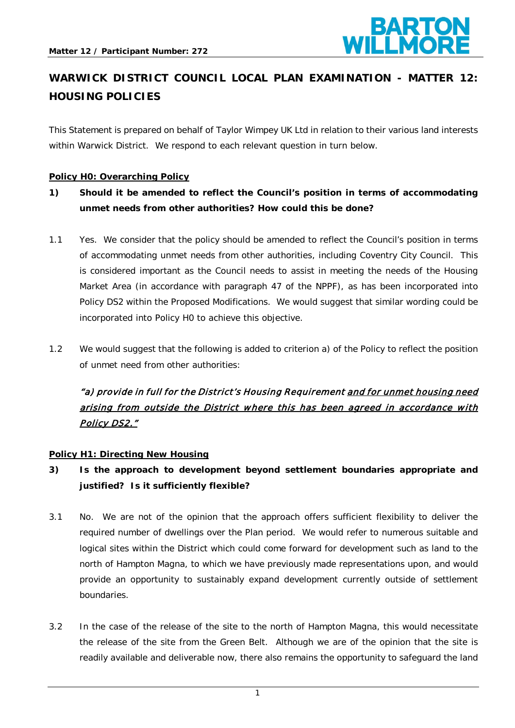

# **WARWICK DISTRICT COUNCIL LOCAL PLAN EXAMINATION - MATTER 12: HOUSING POLICIES**

This Statement is prepared on behalf of Taylor Wimpey UK Ltd in relation to their various land interests within Warwick District. We respond to each relevant question in turn below.

#### **Policy H0: Overarching Policy**

- **1) Should it be amended to reflect the Council's position in terms of accommodating unmet needs from other authorities? How could this be done?**
- 1.1 Yes. We consider that the policy should be amended to reflect the Council's position in terms of accommodating unmet needs from other authorities, including Coventry City Council. This is considered important as the Council needs to assist in meeting the needs of the Housing Market Area (in accordance with paragraph 47 of the NPPF), as has been incorporated into Policy DS2 within the Proposed Modifications. We would suggest that similar wording could be incorporated into Policy H0 to achieve this objective.
- 1.2 We would suggest that the following is added to criterion a) of the Policy to reflect the position of unmet need from other authorities:

# "a) provide in full for the District's Housing Requirement and for unmet housing need arising from outside the District where this has been agreed in accordance with Policy DS2."

#### **Policy H1: Directing New Housing**

- **3) Is the approach to development beyond settlement boundaries appropriate and justified? Is it sufficiently flexible?**
- 3.1 No. We are not of the opinion that the approach offers sufficient flexibility to deliver the required number of dwellings over the Plan period. We would refer to numerous suitable and logical sites within the District which could come forward for development such as land to the north of Hampton Magna, to which we have previously made representations upon, and would provide an opportunity to sustainably expand development currently outside of settlement boundaries.
- 3.2 In the case of the release of the site to the north of Hampton Magna, this would necessitate the release of the site from the Green Belt. Although we are of the opinion that the site is readily available and deliverable now, there also remains the opportunity to safeguard the land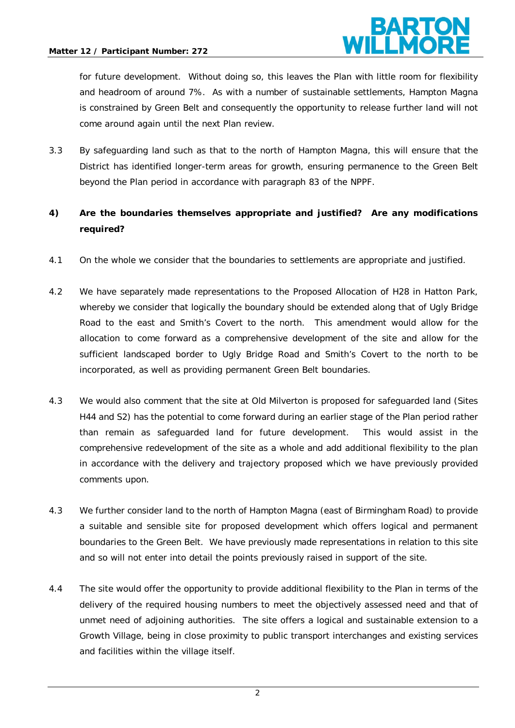

for future development. Without doing so, this leaves the Plan with little room for flexibility and headroom of around 7%. As with a number of sustainable settlements, Hampton Magna is constrained by Green Belt and consequently the opportunity to release further land will not come around again until the next Plan review.

3.3 By safeguarding land such as that to the north of Hampton Magna, this will ensure that the District has identified longer-term areas for growth, ensuring permanence to the Green Belt beyond the Plan period in accordance with paragraph 83 of the NPPF.

### **4) Are the boundaries themselves appropriate and justified? Are any modifications required?**

- 4.1 On the whole we consider that the boundaries to settlements are appropriate and justified.
- 4.2 We have separately made representations to the Proposed Allocation of H28 in Hatton Park, whereby we consider that logically the boundary should be extended along that of Ugly Bridge Road to the east and Smith's Covert to the north. This amendment would allow for the allocation to come forward as a comprehensive development of the site and allow for the sufficient landscaped border to Ugly Bridge Road and Smith's Covert to the north to be incorporated, as well as providing permanent Green Belt boundaries.
- 4.3 We would also comment that the site at Old Milverton is proposed for safeguarded land (Sites H44 and S2) has the potential to come forward during an earlier stage of the Plan period rather than remain as safeguarded land for future development. This would assist in the comprehensive redevelopment of the site as a whole and add additional flexibility to the plan in accordance with the delivery and trajectory proposed which we have previously provided comments upon.
- 4.3 We further consider land to the north of Hampton Magna (east of Birmingham Road) to provide a suitable and sensible site for proposed development which offers logical and permanent boundaries to the Green Belt. We have previously made representations in relation to this site and so will not enter into detail the points previously raised in support of the site.
- 4.4 The site would offer the opportunity to provide additional flexibility to the Plan in terms of the delivery of the required housing numbers to meet the objectively assessed need and that of unmet need of adjoining authorities. The site offers a logical and sustainable extension to a Growth Village, being in close proximity to public transport interchanges and existing services and facilities within the village itself.